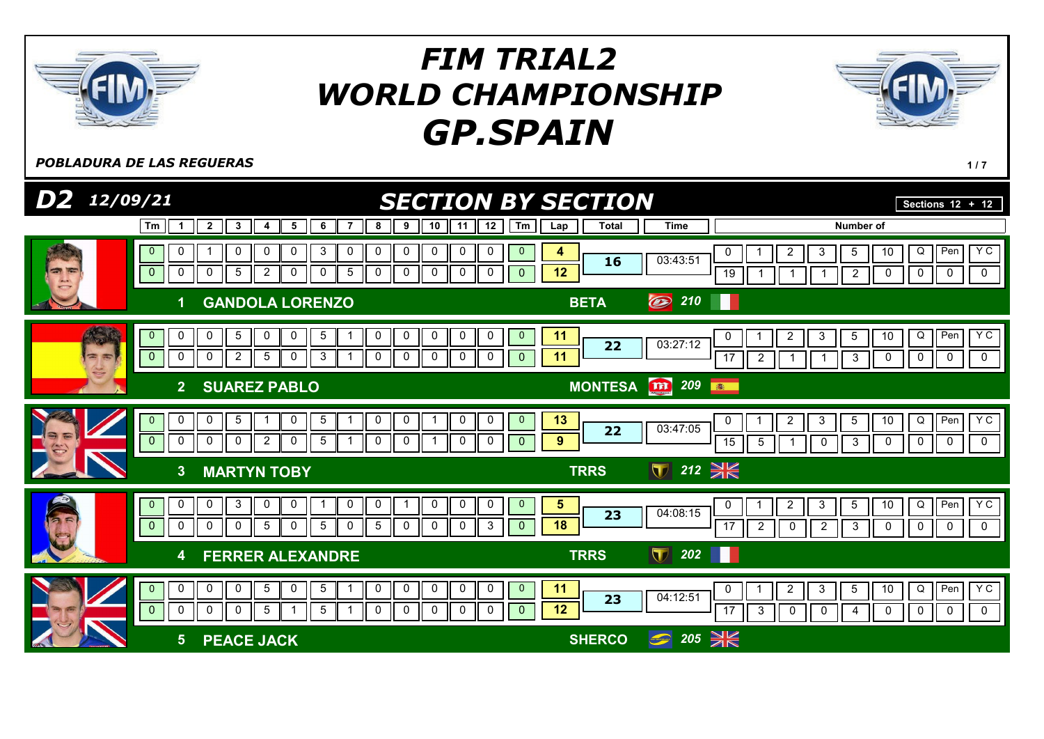

**POBLADURA DE LAS REGUERAS** 117

| $D2$ $12/09/21$ |                                                                                                                                                              | <b>SECTION BY SECTION</b>                                                                                                                                                |                                                        | Sections $12 + 12$                                                                                                                                               |
|-----------------|--------------------------------------------------------------------------------------------------------------------------------------------------------------|--------------------------------------------------------------------------------------------------------------------------------------------------------------------------|--------------------------------------------------------|------------------------------------------------------------------------------------------------------------------------------------------------------------------|
|                 | $\overline{2}$<br>3<br>5<br>6<br>Tm<br>7<br>$\mathbf{1}$<br>4                                                                                                | 10<br>12<br>9<br>Tm<br>8<br>11<br>Lap                                                                                                                                    | <b>Total</b><br><b>Time</b>                            | Number of                                                                                                                                                        |
|                 | 3<br>0<br>0<br>0<br>0<br>0<br>$\mathbf 0$<br>$\overline{5}$<br>$\mathbf 0$<br>0<br>0<br>5<br>$\overline{2}$<br>0<br>0                                        | 0<br>0<br>0<br>0<br>0<br>$\mathbf 0$<br>4<br>12<br>$\mathbf 0$<br>0<br>0<br>0<br>$\overline{0}$<br>$\overline{0}$                                                        | 03:43:51<br>16                                         | YC<br>Pen<br>$Q \mid$<br>$\overline{c}$<br>10<br>0<br>3<br>5<br>$\overline{0}$<br>$\mathbf 0$<br>$\mathbf 0$<br>19<br>$\overline{2}$<br>0                        |
|                 | <b>GANDOLA LORENZO</b>                                                                                                                                       | <b>BETA</b>                                                                                                                                                              | O<br>210                                               |                                                                                                                                                                  |
| 需要              | $5\phantom{.0}$<br>0<br>5<br>0<br>0<br>0<br>$\overline{0}$<br>$\overline{0}$<br>0<br>$\mathbf 0$<br>2<br>5<br>0<br>3                                         | 0<br>0<br>0<br>$\overline{0}$<br>11<br>0<br>0<br>11<br>$\mathbf 0$<br>0<br>0<br>$\mathbf{0}$<br>0<br>0                                                                   | 03:27:12<br>22                                         | YC<br>Pen<br>$\overline{2}$<br>10<br>$Q \parallel$<br>3<br>5<br>0<br>$\overline{17}$<br>0<br>$\mathbf 0$<br>$\mathbf{3}$<br>0<br>$\overline{2}$<br>0             |
|                 | 2 <br><b>SUAREZ PABLO</b>                                                                                                                                    |                                                                                                                                                                          | <b>m</b> 209<br><b>MONTESA</b><br>高                    |                                                                                                                                                                  |
|                 | $\pmb{0}$<br>$\,$ 5 $\,$<br>0<br>0<br>5<br>$\mathbf{0}$<br>$\mathbf{0}$<br>$\mathbf 0$<br>$\mathbf 0$<br>$\mathbf 0$<br>$\overline{2}$<br>5<br>0             | $\mathbf 0$<br>$\mathbf 0$<br>$\mathbf 0$<br>13<br>0<br>$\mathbf 0$<br>$9$<br>$\mathbf 0$<br>0<br>0<br>0<br>$\overline{0}$                                               | 03:47:05<br>22                                         | YC<br>Pen<br>Q<br>$\overline{2}$<br>10<br>3<br>5<br>0<br>15<br>0<br>0<br>$\mathbf 0$<br>5<br>3<br>0<br>$\mathbf 0$                                               |
|                 | <b>MARTYN TOBY</b><br>3 <sup>2</sup>                                                                                                                         |                                                                                                                                                                          | $\sqrt{212}$<br><b>TRRS</b>                            |                                                                                                                                                                  |
|                 | 3<br>$\mathbf 0$<br>$\mathbf 0$<br>0<br>0<br>0<br>$\mathbf{0}$<br>$\mathbf{0}$<br>5<br>5<br>0<br>0<br>0<br>0<br>0                                            | 0<br>0<br>0<br>$\mathbf 0$<br>$\mathbf{0}$<br>$\sqrt{5}$<br>-1<br>18<br>$5\phantom{.0}$<br>$\mathbf 0$<br>0<br>3<br>0<br>$\overline{0}$                                  | 04:08:15<br>23                                         | YC<br>$Q \mid$<br>Pen<br>$\overline{2}$<br>3<br>10<br>0<br>5<br>0<br>$\mathbf 0$<br>17<br>$\pmb{0}$<br>0<br>$\overline{2}$<br>$\mathbf 0$<br>3<br>$\overline{2}$ |
|                 | <b>FERRER ALEXANDRE</b><br>4                                                                                                                                 |                                                                                                                                                                          | $\blacksquare$<br>202<br><b>TRRS</b>                   |                                                                                                                                                                  |
|                 | $\pmb{0}$<br>$\overline{5}$<br>0<br>0<br>$\mathbf 0$<br>$\overline{5}$<br>$\mathbf{0}$<br>$\mathbf 0$<br>$\sqrt{5}$<br>5<br>0<br>$\mathbf 0$<br>$\mathbf{0}$ | $\pmb{0}$<br>$\mathbf 0$<br>$\mathbf{0}$<br>11<br>$\mathbf 0$<br>0<br>0<br>12<br>$\mathbf 0$<br>$\mathbf 0$<br>$\mathbf 0$<br>$\mathbf 0$<br>$\mathbf 0$<br>$\mathbf{0}$ | 04:12:51<br>23                                         | Y C<br>Q<br>Pen<br>$\overline{2}$<br>$\mathbf{3}$<br>$5\phantom{.0}$<br>10<br>0<br>17<br>0<br>3<br>0<br>0<br>0<br>0<br>0<br>4                                    |
|                 | <b>PEACE JACK</b><br>5 <sup>5</sup>                                                                                                                          |                                                                                                                                                                          | $205 \cancel{\text{m}}$<br>$\bigcirc$<br><b>SHERCO</b> |                                                                                                                                                                  |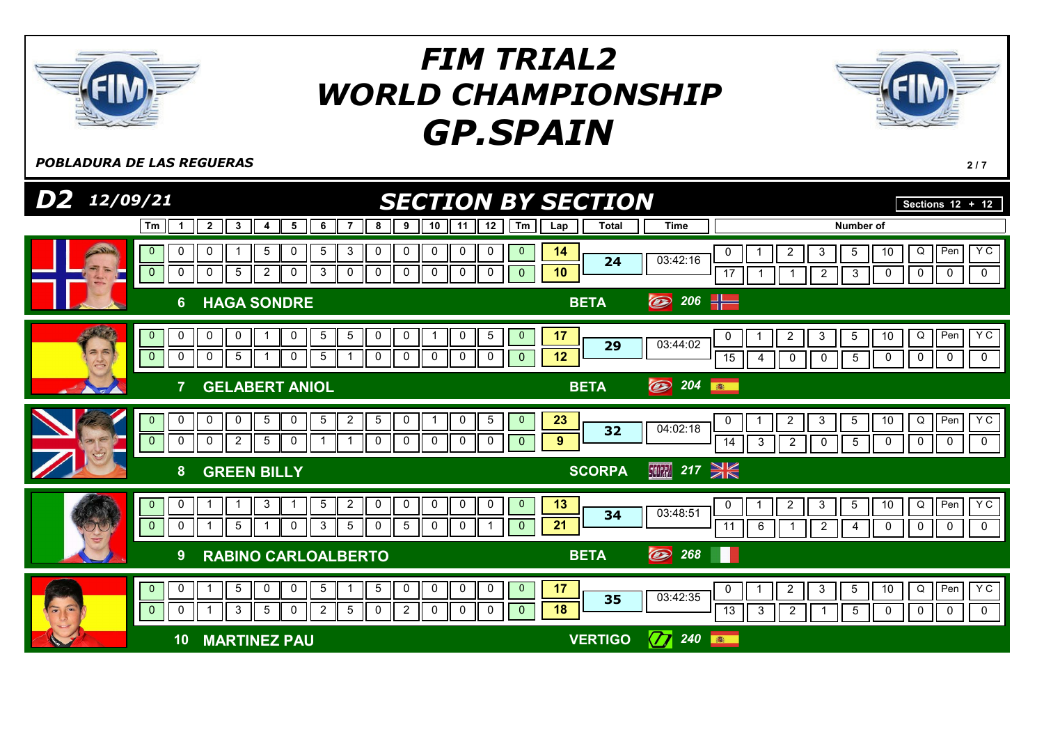

**POBLADURA DE LAS REGUERAS** 2/7

| $D2$ 12/09/21                   |                                                                                                                                                         | <b>SECTION BY SECTION</b>                                                                                                           |                     |                                  |                                                                              | Sections $12 + 12$                                                                           |
|---------------------------------|---------------------------------------------------------------------------------------------------------------------------------------------------------|-------------------------------------------------------------------------------------------------------------------------------------|---------------------|----------------------------------|------------------------------------------------------------------------------|----------------------------------------------------------------------------------------------|
|                                 | $\overline{2}$<br>3<br>6<br>Tm<br>5<br>$\mathbf 1$<br>4                                                                                                 | 10<br>12<br>Tm<br>9<br>8<br>11                                                                                                      | <b>Total</b><br>Lap | <b>Time</b>                      |                                                                              | Number of                                                                                    |
| $\frac{1}{2}$                   | 3<br>0<br>5<br>0<br>5<br>0<br>$\mathbf 0$<br>$\mathbf 0$<br>3<br>0<br>$\mathbf 0$<br>5<br>$\overline{2}$<br>0<br>0                                      | 0<br>0<br>0<br>0<br>0<br>$\mathbf 0$<br>0<br>0<br>0<br>0<br>$\mathbf 0$                                                             | 14<br>24<br>10      | 03:42:16<br>$\overline{17}$      | 5<br>3<br>2<br>$\overline{c}$<br>1                                           | Y C<br>Q<br>Pen<br>10<br>$\overline{0}$<br>$\mathbf 0$<br>$\overline{0}$<br>$\mathbf 0$<br>3 |
|                                 | <b>HAGA SONDRE</b><br>6 <sup>°</sup>                                                                                                                    |                                                                                                                                     | <b>BETA</b>         | 206 $\frac{1}{2}$<br>$\circledB$ |                                                                              |                                                                                              |
| 26                              | 0<br>0<br>$\mathbf 0$<br>0<br>5<br>5<br>$\mathbf{0}$<br>$\overline{0}$<br>0<br>5<br>0<br>$5\phantom{.0}$<br>0                                           | $\,$ 5 $\,$<br>0<br>0<br>0<br>$\mathbf{0}$<br>0<br>0<br>0<br>0<br>0<br>$\mathbf{0}$                                                 | 17<br>29<br>12      | 03:44:02<br>15                   | 3<br>5<br>2<br>0<br>0<br>4                                                   | YC<br>Q<br>Pen<br>10<br>$\mathbf 0$<br>$\mathbf 0$<br>5<br>0<br>$\mathbf 0$                  |
|                                 | <b>GELABERT ANIOL</b>                                                                                                                                   |                                                                                                                                     | <b>BETA</b>         | O<br>204<br>都                    |                                                                              |                                                                                              |
|                                 | 0<br>$5\overline{)}$<br>0<br>5<br>$\overline{2}$<br>$\mathbf 0$<br>0<br>0<br>$\overline{2}$<br>$\mathbf{0}$<br>0<br>$5\phantom{.0}$<br>$\mathbf 0$<br>0 | 5<br>5<br>0<br>0<br>$\mathbf{0}$<br>$\mathbf 0$<br>$\mathbf 0$<br>$\mathbf 0$<br>$\mathbf 0$<br>0<br>$\mathbf{0}$                   | 23<br>32<br>9       | 04:02:18<br>14                   | 3<br>$5\phantom{.0}$<br>$\overline{2}$<br>$\overline{2}$<br>3<br>$\mathbf 0$ | YC<br>Pen<br>Q<br>10<br>$\mathbf 0$<br>5<br>$\mathbf 0$<br>$\mathbf 0$<br>$\mathbf 0$        |
|                                 | <b>GREEN BILLY</b><br>8                                                                                                                                 |                                                                                                                                     | <b>SCORPA</b>       | 亚 217 → 长                        |                                                                              |                                                                                              |
|                                 | $\overline{2}$<br>3<br>5<br>0<br>$\mathbf{0}$<br>1<br>-1<br>$\mathbf{0}$<br>$\mathbf 0$<br>3<br>$5\phantom{.0}$<br>0<br>5                               | $\mathbf 0$<br>$\mathbf 0$<br>$\mathbf 0$<br>0<br>0<br>$\overline{0}$<br>5<br>$\mathbf 0$<br>0<br>0<br>$\Omega$                     | 13<br>34<br>21      | 0<br>03:48:51<br>11              | $\overline{2}$<br>3<br>$5\overline{)}$<br>6<br>$\overline{2}$<br>1           | Y C<br>Q<br>Pen<br>10<br>$\mathbf 0$<br>$\mathbf 0$<br>0<br>$\mathbf 0$<br>4                 |
|                                 | <b>RABINO CARLOALBERTO</b><br>9                                                                                                                         |                                                                                                                                     | <b>BETA</b>         | $\circledB$<br>268               |                                                                              |                                                                                              |
| $\tilde{\bullet}$<br>$\sqrt{2}$ | $5\phantom{.0}$<br>$\mathbf 0$<br>$\sqrt{5}$<br>$\overline{0}$<br>0<br>0<br>3<br>$\overline{2}$<br>$\mathbf{0}$<br>5<br>$\mathbf 0$<br>5<br>0<br>-1     | $5^{\circ}$<br>0<br>0<br>0<br>0<br>$\mathbf{0}$<br>$\overline{2}$<br>$\mathbf 0$<br>$\mathbf 0$<br>$\mathbf 0$<br>0<br>$\mathbf{0}$ | 17<br>35<br>18      | 0<br>03:42:35<br>$\overline{13}$ | $\overline{2}$<br>3<br>$5\phantom{.0}$<br>3<br>$\overline{2}$                | $Y$ C<br>Q<br>Pen<br>10<br>$\overline{0}$<br>5<br>0<br>0<br>$\mathbf 0$                      |
|                                 | <b>MARTINEZ PAU</b><br>10                                                                                                                               |                                                                                                                                     | <b>VERTIGO</b>      | $\bm{\mathcal{D}}$<br>240<br>高   |                                                                              |                                                                                              |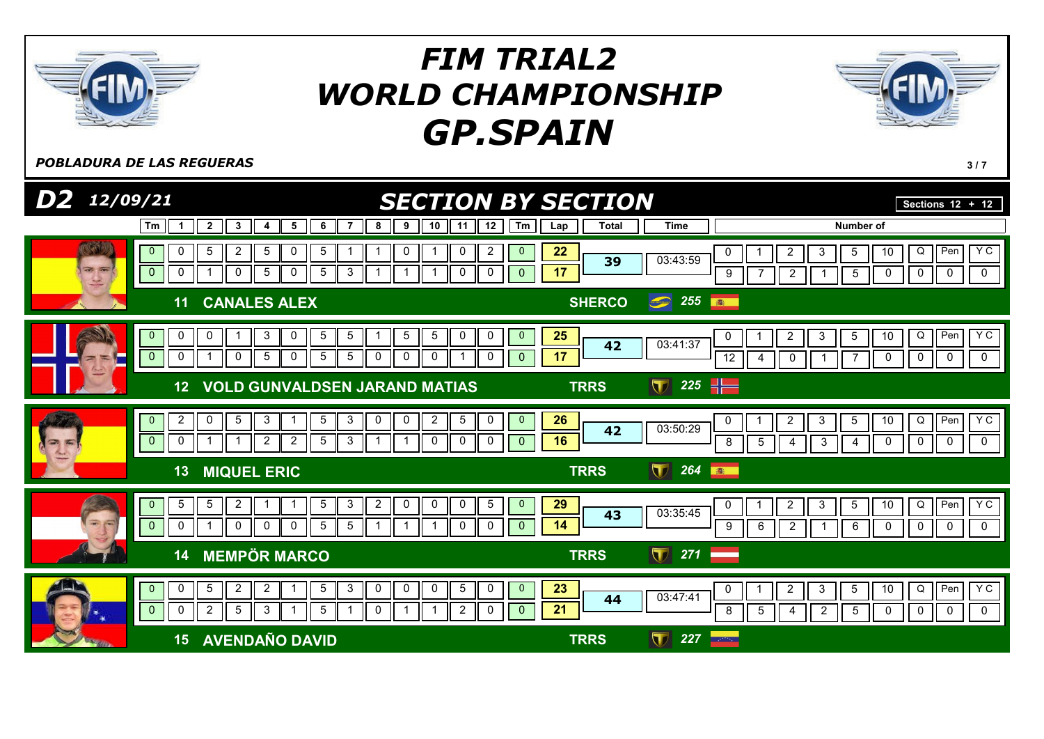

POBLADURA DE LAS REGUERAS **3/7** 

| $D2$ $12/09/21$                                                                                  | <b>SECTION BY SECTION</b>                                                                                                                                                                                                                                              |                     |                                    | Sections $12 + 12$                                                                                                                                                                                           |
|--------------------------------------------------------------------------------------------------|------------------------------------------------------------------------------------------------------------------------------------------------------------------------------------------------------------------------------------------------------------------------|---------------------|------------------------------------|--------------------------------------------------------------------------------------------------------------------------------------------------------------------------------------------------------------|
| Tm                                                                                               | $\overline{\mathbf{2}}$<br>10<br>12<br>Tm<br>$\mathbf{3}$<br>8<br>9<br>11<br>5<br>6<br>7<br>4                                                                                                                                                                          | <b>Total</b><br>Lap | <b>Time</b>                        | <b>Number of</b>                                                                                                                                                                                             |
| 0<br>$\mathbf{0}$<br>$\overline{3}$ $\overline{3}$<br>$\pmb{0}$<br>0<br>$\overline{\mathcal{L}}$ | $5\phantom{.0}$<br>$\overline{2}$<br>5<br>0<br>$5^{\circ}$<br>0<br>0<br>2<br>$\mathbf{0}$<br>-1<br>5 <sub>5</sub><br>$\mathbf{3}$<br>$\mathbf{1}$<br>0<br>5<br>$\overline{0}$<br>0<br>$\mathbf{0}$<br>$\mathbf{1}$<br>$\overline{1}$<br>$\overline{0}$<br>$\mathbf{1}$ | 22<br>39<br>17      | 03:43:59                           | Pen<br>Y C<br>Q<br>$\overline{\mathbf{c}}$<br>5<br>10<br>0<br>3<br>$\mathbf 0$<br>$\overline{0}$<br>$\mathbf 0$<br>$\boldsymbol{9}$<br>$\overline{c}$<br>$\overline{5}$<br>0                                 |
| 11                                                                                               | <b>CANALES ALEX</b>                                                                                                                                                                                                                                                    | <b>SHERCO</b>       | 255<br>$\circledcirc$              | 第1                                                                                                                                                                                                           |
| $\mathbf 0$<br>$\mathbf{0}$<br>$\mathbf{0}$<br>$\mathbf 0$<br>┍<br>$\equiv$                      | $5\phantom{.0}$<br>$\overline{5}$<br>$\,$ 5 $\,$<br>$\mathbf{0}$<br>0<br>3<br>$5^{\circ}$<br>0<br>0<br>0<br>0<br>5<br>$5\overline{)}$<br>$5\phantom{.0}$<br>0<br>$\overline{0}$<br>$\overline{1}$<br>$\overline{0}$<br>0<br>0<br>0                                     | 25<br>42<br>17      | 03:41:37                           | Pen<br>Y C<br>$\overline{c}$<br>Q<br>3<br>5<br>10<br>0<br>$\mathbf 0$<br>0<br>$\mathbf 0$<br>12<br>$\mathbf 0$<br>0<br>4<br>7                                                                                |
| 12 <sub>2</sub>                                                                                  | <b>VOLD GUNVALDSEN JARAND MATIAS</b>                                                                                                                                                                                                                                   | <b>TRRS</b>         | 225 $\frac{1}{2}$<br>$\mathbf \Pi$ |                                                                                                                                                                                                              |
| $\overline{c}$<br>$\mathbf{0}$<br>$\mathbf{0}$<br>0<br>23                                        | $5\phantom{.0}$<br>5 <sub>5</sub><br>$\mathbf{3}$<br>$\overline{5}$<br>$\mathbf 0$<br>3<br>0<br>0<br>$\overline{c}$<br>0<br>$\mathbf 0$<br>$\overline{c}$<br>$\overline{2}$<br>5 <sup>5</sup><br>$\mathbf{3}$<br>$\mathbf 0$<br>0<br>0<br>$\overline{0}$<br>-1         | 26<br>42<br>16      | 03:50:29                           | YC<br>Q<br>Pen<br>$\overline{c}$<br>3<br>5<br>10<br>0<br>$\mathbf 0$<br>$\mathbf 0$<br>8<br>$5\overline{)}$<br>0<br>$\mathbf 0$<br>3<br>4<br>4                                                               |
| 13                                                                                               | <b>MIQUEL ERIC</b>                                                                                                                                                                                                                                                     | <b>TRRS</b>         | $\blacksquare$<br>264              | 高                                                                                                                                                                                                            |
| $5\phantom{.0}$<br>$\mathbf{0}$<br>$\frac{1}{\sqrt{2}}$<br>$\mathbf{0}$<br>0                     | $5\phantom{.0}$<br>$\overline{2}$<br>5 <sup>5</sup><br>$\mathbf{3}$<br>$\overline{2}$<br>$\mathbf 0$<br>$\mathbf 0$<br>$\mathbf 0$<br>5<br>$\overline{0}$<br>5 <sub>5</sub><br>$5\phantom{.0}$<br>$\mathbf 0$<br>0<br>0<br>$\mathbf{0}$<br>$\Omega$<br>0               | 29<br>43<br>14      | 03:35:45                           | YC<br>Q<br>Pen<br>$\overline{2}$<br>3<br>$5\phantom{.0}$<br>10<br>0<br>$\mathbf 0$<br>6<br>$\mathbf 0$<br>9<br>$\overline{2}$<br>6<br>0<br>0<br>-1                                                           |
| 14                                                                                               | <b>MEMPÖR MARCO</b>                                                                                                                                                                                                                                                    | <b>TRRS</b>         | $\blacksquare$<br>271              |                                                                                                                                                                                                              |
| $\mathbf 0$<br>$\mathbf{0}$<br>$\mathbf 0$<br>$\mathbf{0}$<br>景.<br><b>AL</b>                    | $5\phantom{.0}$<br>$\overline{2}$<br>$\overline{c}$<br>$\mathbf{3}$<br>$\mathsf 0$<br>$5\phantom{.0}$<br>$\overline{0}$<br>5 <sub>5</sub><br>0<br>0<br>0<br>$\overline{2}$<br>5<br>3<br>$5^{\circ}$<br>2<br>0<br>$\overline{0}$<br>0<br>-1                             | 23<br>44<br>21      | 03:47:41                           | Y C<br>Q<br>Pen<br>$\overline{2}$<br>$\mathbf{3}$<br>$5\phantom{.0}$<br>10<br>0<br>8<br>$5\overline{)}$<br>$\mathbf 0$<br>$\mathbf 0$<br>$\Omega$<br>$\overline{2}$<br>$\overline{5}$<br>0<br>$\overline{4}$ |
| 15                                                                                               | <b>AVENDAÑO DAVID</b>                                                                                                                                                                                                                                                  | <b>TRRS</b>         | 227<br>$\mathbf \Pi$               | $\sim 223$ .                                                                                                                                                                                                 |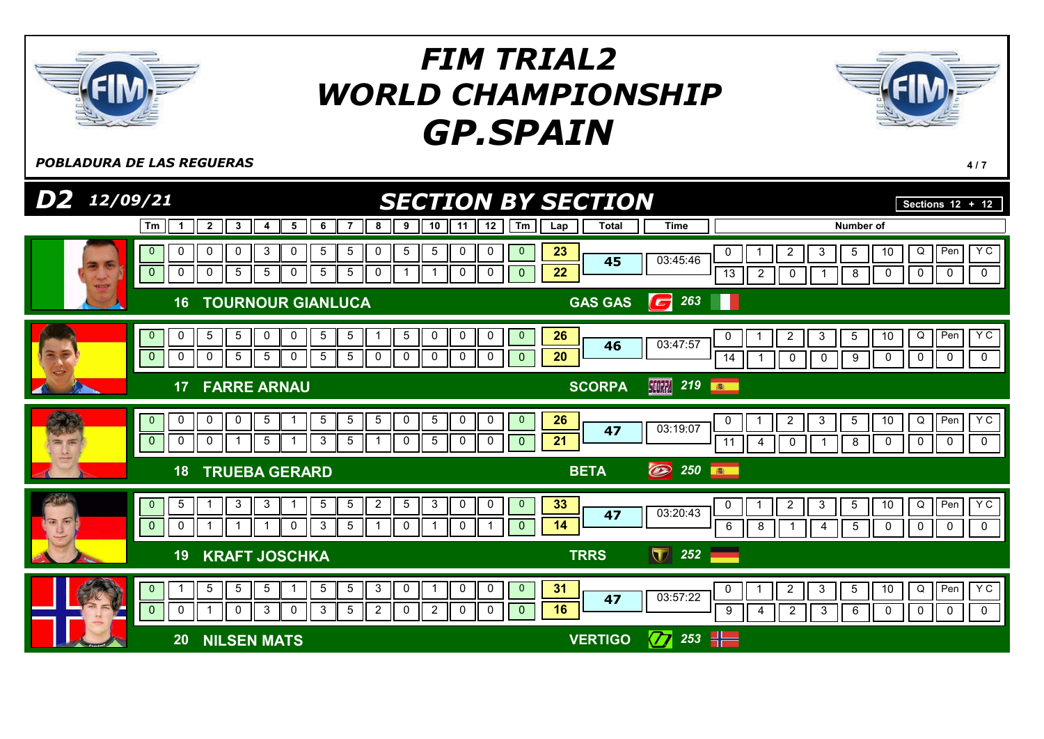

**POBLADURA DE LAS REGUERAS** 4/7

| D2 12/09/21              | <b>SECTION BY SECTION</b>                                                                                                                                                                                                                                                           |                                                                                                                             | Sections $12 + 12$                                                                   |
|--------------------------|-------------------------------------------------------------------------------------------------------------------------------------------------------------------------------------------------------------------------------------------------------------------------------------|-----------------------------------------------------------------------------------------------------------------------------|--------------------------------------------------------------------------------------|
|                          | 12<br>$\overline{\mathbf{2}}$<br>5<br>6<br>8<br>9<br>10<br>Tm<br>3<br>11<br>Tm<br>$\mathbf 1$<br>4                                                                                                                                                                                  | <b>Total</b><br><b>Time</b><br>Number of<br>Lap                                                                             |                                                                                      |
|                          | $\mathbf 0$<br>5<br>5<br>$\overline{5}$<br>0<br>0<br>3<br>5<br>0<br>0<br>0<br>$\mathbf{0}$<br>0<br>$\mathbf 0$<br>$\pmb{0}$<br>5<br>0<br>5<br>5<br>$\mathbf 0$<br>5<br>0<br>0<br>0<br>0<br>$\mathbf 0$<br>-1                                                                        | 23<br>$\overline{2}$<br>5<br>0<br>3<br>03:45:46<br>45<br>22<br>$\overline{13}$<br>$\overline{2}$<br>$\mathbf 0$<br>8        | Pen<br>Y C<br>10<br>Q<br>$\mathbf 0$<br>$\mathbf 0$<br>$\mathbf 0$<br>0              |
|                          | <b>TOURNOUR GIANLUCA</b><br>16                                                                                                                                                                                                                                                      | 263<br><b>GAS GAS</b><br>$\mathbf{G}$                                                                                       |                                                                                      |
|                          | $\sqrt{5}$<br>$\,$ 5 $\,$<br>$\sqrt{5}$<br>$\overline{5}$<br>$\mathbf{0}$<br>5<br>0<br>0<br>0<br>$\mathbf{0}$<br>0<br>0<br>0<br>-1<br>$\overline{0}$<br>0<br>5<br>$5\overline{)}$<br>$\mathbf 0$<br>5<br>5<br>0<br>0<br>0<br>0<br>0<br>0<br>$\overline{0}$                          | 26<br>$\overline{2}$<br>3<br>5<br>0<br>03:47:57<br>46<br>$\overline{20}$<br>14<br>$\mathbf 0$<br>9<br>0                     | YC<br>10<br>$\mathsf Q$<br>Pen<br>$\mathbf 0$<br>$\mathbf 0$<br>$\mathbf 0$<br>0     |
|                          | <b>FARRE ARNAU</b><br>17                                                                                                                                                                                                                                                            | <b>SCORPA</b><br>219<br><b>SCORPA</b><br>高                                                                                  |                                                                                      |
| $= 5$                    | 5<br>$\,$ 5 $\,$<br>$\sqrt{5}$<br>5<br>$\mathbf 0$<br>$\mathbf{0}$<br>0<br>5<br>0<br>0<br>$\mathbf{0}$<br>0<br>0<br>$\bf{0}$<br>$\mathbf{3}$<br>0<br>$5\phantom{.0}$<br>0<br>$5\phantom{.0}$<br>5<br>0<br>0<br>-1<br>0<br>$\mathbf 0$<br>1                                          | 26<br>$\overline{c}$<br>3<br>$5\phantom{.0}$<br>0<br>03:19:07<br>47<br>21<br>$\overline{11}$<br>8<br>0<br>4                 | Y C<br>10<br>$\overline{Q}$<br>Pen<br>$\mathbf 0$<br>$\mathbf 0$<br>$\mathbf 0$<br>0 |
|                          | <b>TRUEBA GERARD</b><br>18                                                                                                                                                                                                                                                          | O<br>250<br><b>BETA</b><br>高                                                                                                |                                                                                      |
| $\sqrt{2}$<br>$\sqrt{2}$ | $\mathbf{3}$<br>$5\phantom{.0}$<br>$\overline{2}$<br>$\overline{5}$<br>$\mathbf{3}$<br>3<br>5<br>$\mathbf 0$<br>0<br>5<br>$\mathbf{0}$<br>$\mathbf 0$<br>$\overline{0}$<br>3<br>$5\phantom{.0}$<br>0<br>0<br>0<br>$\mathbf{0}$<br>0<br>1                                            | 33<br>$\overline{a}$<br>$5\phantom{.0}$<br>$\mathbf{3}$<br>0<br>03:20:43<br>47<br>14<br>6<br>8<br>$5\phantom{.0}$<br>1<br>4 | <b>YC</b><br>10<br>Q<br>Pen<br>$\mathbf 0$<br>$\mathbf 0$<br>0<br>$\mathbf 0$        |
|                          | <b>KRAFT JOSCHKA</b><br>19                                                                                                                                                                                                                                                          | $\blacksquare$<br>252<br><b>TRRS</b>                                                                                        |                                                                                      |
|                          | $5\phantom{.0}$<br>$5\phantom{.0}$<br>5<br>$\overline{5}$<br>3<br>0<br>0<br>0<br>$\mathbf{0}$<br>$\overline{5}$<br>$\overline{0}$<br>$\overline{0}$<br>3<br>5<br>$\mathbf{0}$<br>3<br>$\mathbf 0$<br>$\mathbf{2}$<br>0<br>$\overline{2}$<br>$\mathbf 0$<br>0<br>$\overline{0}$<br>0 | 31<br>$\overline{2}$<br>$\mathbf{3}$<br>$\overline{5}$<br>0<br>03:57:22<br>47<br>16<br>9<br>$\overline{2}$<br>6<br>3<br>4   | YC<br>$\overline{Q}$<br>Pen<br>10<br>0<br>$\mathbf 0$<br>$\mathbf 0$<br>0            |
|                          | <b>NILSEN MATS</b><br>20                                                                                                                                                                                                                                                            | $\sigma$<br>$\frac{1}{1}$<br>253<br><b>VERTIGO</b>                                                                          |                                                                                      |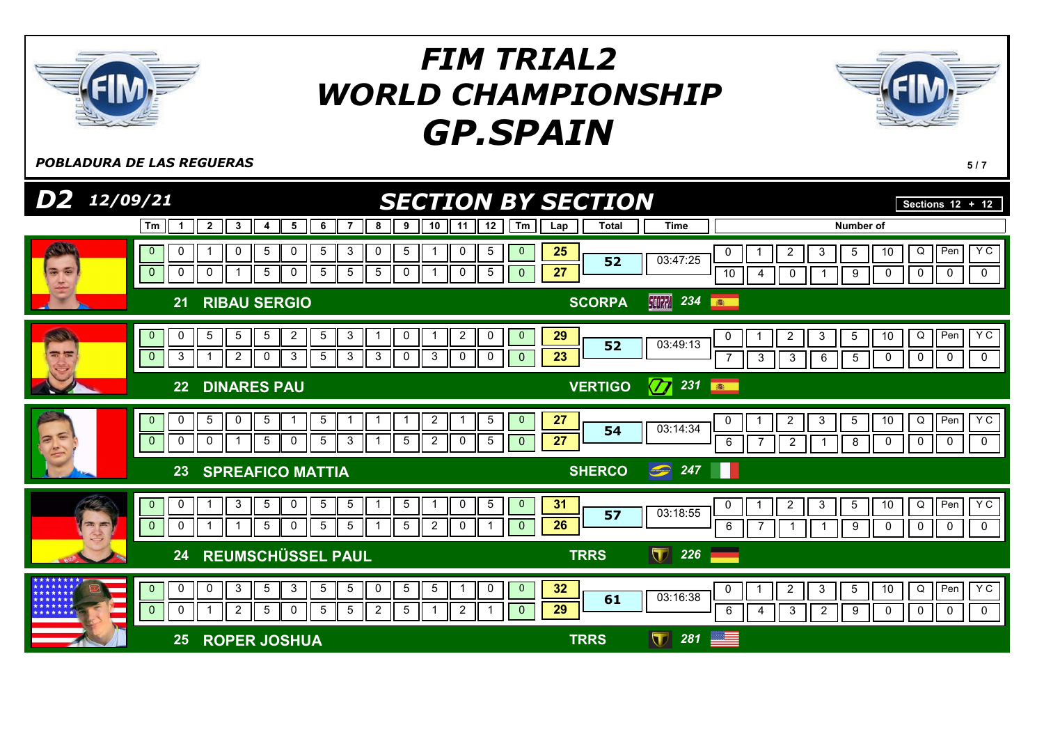

POBLADURA DE LAS REGUERAS **5/7** 

| $D2$ 12/09/21 |                                                 |                                                                                                                                                                                                | <b>SECTION BY SECTION</b>                      |                                                             | Sections $12 + 12$                                                                           |
|---------------|-------------------------------------------------|------------------------------------------------------------------------------------------------------------------------------------------------------------------------------------------------|------------------------------------------------|-------------------------------------------------------------|----------------------------------------------------------------------------------------------|
|               | Tm<br>$\mathbf 1$                               | 10<br>12<br>$\overline{2}$<br>3<br>5<br>6<br>9<br>7<br>8<br>11<br>4                                                                                                                            | Tm<br><b>Total</b><br>Lap                      | <b>Time</b>                                                 | Number of                                                                                    |
|               | 0<br>$\overline{0}$<br>$\mathbf 0$<br>0         | $\mathbf 5$<br>$\mathbf 0$<br>$\mathbf{3}$<br>$5\phantom{.0}$<br>0<br>5<br>5<br>0<br>0<br>$\,$ 5 $\,$<br>$\overline{5}$<br>$5\phantom{.0}$<br>$\sqrt{5}$<br>0<br>5<br>0<br>0<br>0              | 25<br>$\mathbf 0$<br>52<br>27<br>$\mathbf{0}$  | $\overline{c}$<br>0<br>03:47:25<br>10<br>0<br>4             | YC<br>Pen<br>$Q \mid$<br>10<br>3<br>5<br>$\mathbf 0$<br>0<br>$\mathbf 0$<br>9<br>0           |
|               | 21                                              | <b>RIBAU SERGIO</b>                                                                                                                                                                            | <b>SCORPA</b>                                  | <b>SCORPA</b><br>234<br>卷                                   |                                                                                              |
|               | $\overline{0}$<br>0<br>$\mathbf{0}$<br>3        | 3<br>$\overline{c}$<br>$\overline{2}$<br>5<br>0<br>0<br>5<br>5<br>5<br>-1<br>3<br>2<br>3<br>5<br>3<br>$\mathbf 0$<br>3<br>0<br>0<br>0                                                          | 29<br>$\mathbf{0}$<br>52<br>23<br>$\mathbf{0}$ | $\overline{2}$<br>0<br>03:49:13<br>3<br>$\overline{7}$<br>3 | YC<br>Pen<br>3<br>10<br>Q<br>5<br>0<br>$\mathbf 0$<br>5<br>0<br>6<br>0                       |
|               | 22                                              | <b>DINARES PAU</b>                                                                                                                                                                             | <b>VERTIGO</b>                                 | $\sigma$<br>231<br><b>B</b>                                 |                                                                                              |
|               | 0<br>$\mathbf{0}$<br>$\mathbf{0}$<br>0          | $\sqrt{5}$<br>$5\phantom{.0}$<br>5<br>$\overline{\mathbf{c}}$<br>5<br>0<br>1<br>-1<br>-1<br>$\mathbf{3}$<br>$5\phantom{.0}$<br>0<br>5<br>5<br>5<br>$\overline{2}$<br>0<br>0<br>1               | 27<br>$\mathbf{0}$<br>54<br>27<br>$\mathbf{0}$ | $\overline{c}$<br>0<br>03:14:34<br>$\overline{2}$<br>6      | YC<br>Pen<br>Q<br>10<br>3<br>5<br>0<br>$\mathbf 0$<br>8<br>0<br>0                            |
|               | 23                                              | <b>SPREAFICO MATTIA</b>                                                                                                                                                                        | <b>SHERCO</b>                                  | $\bigcirc$ 247                                              |                                                                                              |
| $= 5$         | 0<br>$\overline{0}$<br>$\mathbf{0}$<br>0        | $5\phantom{.0}$<br>$\sqrt{5}$<br>3<br>$\overline{5}$<br>0<br>5<br>0<br>5<br>-1<br>$5\phantom{.0}$<br>5<br>0<br>5<br>$5\phantom{.0}$<br>$\overline{2}$<br>0<br>-1                               | $\mathbf{0}$<br>31<br>57<br>26<br>$\mathbf{0}$ | $\overline{2}$<br>0<br>03:18:55<br>6                        | YC<br>Q<br>3<br>10<br>Pen<br>5<br>0<br>$\mathbf 0$<br>0<br>0<br>9                            |
|               | 24                                              | <b>REUMSCHÜSSEL PAUL</b>                                                                                                                                                                       | <b>TRRS</b>                                    | $\blacksquare$<br>226                                       |                                                                                              |
|               | $\mathbf{0}$<br>$\mathbf 0$<br>$\mathbf 0$<br>0 | 3<br>3<br>$\overline{5}$<br>$5\phantom{.0}$<br>0<br>$\overline{5}$<br>$\overline{5}$<br>5<br>0<br>0<br>1<br>5<br>5<br>$5\phantom{.0}$<br>2<br>5<br>$\overline{2}$<br>$\overline{2}$<br>0<br>-1 | 32<br>$\mathbf{0}$<br>61<br>29<br>$\mathbf{0}$ | $\overline{2}$<br>0<br>03:16:38<br>6<br>3<br>4              | Y C<br>$Q \mid$<br>Pen<br>$\mathbf{3}$<br>5<br>10<br>0<br>$\overline{2}$<br>9<br>0<br>0<br>0 |
|               | 25                                              | <b>ROPER JOSHUA</b>                                                                                                                                                                            | <b>TRRS</b>                                    | 281<br>$\bf \nabla$                                         |                                                                                              |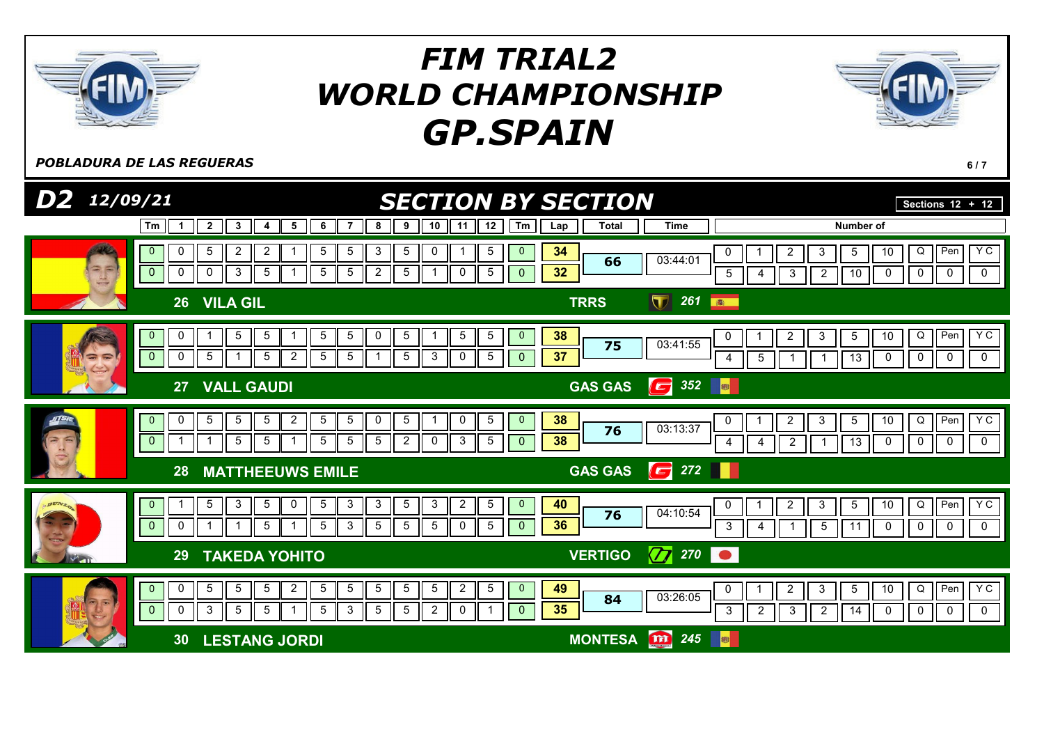

POBLADURA DE LAS REGUERAS **6/7** 

| $D2$ 12/09/21                                                                            | <b>SECTION BY SECTION</b>                                                                                                                                                                                                                                                                                   |                                                                                                                        | Sections $12 + 12$                                                                            |
|------------------------------------------------------------------------------------------|-------------------------------------------------------------------------------------------------------------------------------------------------------------------------------------------------------------------------------------------------------------------------------------------------------------|------------------------------------------------------------------------------------------------------------------------|-----------------------------------------------------------------------------------------------|
| Tm<br>$\mathbf 1$                                                                        | $\mathbf{3}$<br>6<br>12<br>$\overline{\mathbf{2}}$<br>5<br>7<br>8<br>9<br>10<br>11<br>Tm<br>4                                                                                                                                                                                                               | Number of<br><b>Time</b><br>Total<br>Lap                                                                               |                                                                                               |
| 0<br>$\overline{0}$<br>$\begin{pmatrix} 1 \\ 1 \\ -1 \end{pmatrix}$<br>$\mathbf{0}$<br>0 | $5\phantom{.0}$<br>$\overline{2}$<br>$\overline{2}$<br>3<br>$\overline{5}$<br>$\mathbf 5$<br>5<br>0<br>5<br>$\mathbf{0}$<br>$\mathbf{3}$<br>5<br>$\overline{2}$<br>5<br>$\mathbf 0$<br>5<br>5<br>5<br>$\mathbf{1}$<br>0<br>$\mathbf{0}$                                                                     | 34<br>0<br>$\overline{\mathbf{c}}$<br>5<br>3<br>03:44:01<br>66<br>32<br>$\sqrt{3}$<br>$\sqrt{2}$<br>5<br>$10$<br>4     | <b>YC</b><br>$\overline{Q}$<br>10<br>Pen<br>$\mathbf 0$<br>$\mathbf 0$<br>$\mathbf 0$<br>0    |
| 26 <sup>°</sup>                                                                          | <b>VILA GIL</b>                                                                                                                                                                                                                                                                                             | 261<br>$\blacksquare$<br><b>TRRS</b><br>图                                                                              |                                                                                               |
| $\mathbf{0}$<br>0<br>$\overline{0}$<br>$\mathbf 0$<br>$= 5$                              | $\overline{5}$<br>5<br>5<br>0<br>5<br>5<br>5<br>5<br>-1<br>$\mathbf{0}$<br>-1<br>$5\phantom{.0}$<br>$\overline{2}$<br>$5\phantom{.0}$<br>$\sqrt{5}$<br>$\mathbf{3}$<br>5<br>$5\phantom{.0}$<br>$\mathbf 0$<br>$\mathbf 5$<br>$\overline{1}$<br>$\mathbf 1$<br>$\mathbf{0}$                                  | 38<br>$\overline{c}$<br>$\mathbf{3}$<br>$\sqrt{5}$<br>$\pmb{0}$<br>03:41:55<br>75<br>37<br>13<br>5<br>4<br>-1          | <b>YC</b><br>10<br>$\mathsf Q$<br>Pen<br>$\mathbf 0$<br>$\mathbf 0$<br>$\mathbf 0$<br>0       |
| 27                                                                                       | <b>VALL GAUDI</b>                                                                                                                                                                                                                                                                                           | $\begin{array}{ c c c }\n\hline\n\textbf{G} & 352 & \textbf{e} \n\end{array}$<br><b>GAS GAS</b>                        |                                                                                               |
| 0<br>$\mathbf{0}$<br>$\mathbf 0$                                                         | $\sqrt{5}$<br>$5\phantom{.0}$<br>$\overline{5}$<br>$\sqrt{5}$<br>$\overline{2}$<br>0<br>0<br>$\mathbf 5$<br>5<br>5<br>-1<br>$\mathbf{0}$<br>$\overline{2}$<br>$\sqrt{5}$<br>$\overline{5}$<br>$5\phantom{.0}$<br>$5\phantom{.0}$<br>5<br>$\mathbf 0$<br>3<br>$\overline{\mathbf{1}}$<br>5<br>$\overline{0}$ | 38<br>$\boldsymbol{2}$<br>3<br>$5\phantom{.0}$<br>0<br>03:13:37<br>76<br>38<br>$\overline{2}$<br>13<br>4<br>4          | Y C<br>Q<br>Pen<br>10<br>$\mathbf 0$<br>$\mathbf 0$<br>0<br>0                                 |
| 28                                                                                       | <b>MATTHEEUWS EMILE</b>                                                                                                                                                                                                                                                                                     | $\boxed{6}$ 272<br><b>GAS GAS</b>                                                                                      |                                                                                               |
| $\overline{0}$<br>$\mathbf{0}$<br>0                                                      | $5\phantom{.0}$<br>3<br>3<br>$\sqrt{5}$<br>3<br>$\overline{2}$<br>$\mathbf 5$<br>5<br>0<br>5<br>$\mathbf{3}$<br>$\mathbf{0}$<br>5<br>3<br>5<br>5<br>$\sqrt{5}$<br>0<br>$\sqrt{5}$<br>5<br>$\overline{0}$<br>-1<br>-1                                                                                        | 40<br>$\overline{2}$<br>3<br>$5\overline{)}$<br>0<br>04:10:54<br>76<br>36<br>$\mathbf{3}$<br>$\overline{5}$<br>11<br>4 | $\overline{D}$<br>YC<br>10<br>Pen<br>$\mathbf 0$<br>$\mathsf 0$<br>$\mathbf 0$<br>$\mathbf 0$ |
| 29                                                                                       | <b>TAKEDA YOHITO</b>                                                                                                                                                                                                                                                                                        | $\sqrt{7}$ 270 $\circ$<br><b>VERTIGO</b>                                                                               |                                                                                               |
| 0<br>$\mathbf{0}$<br>$\overline{0}$<br>0                                                 | $5\phantom{.0}$<br>5<br>$\overline{2}$<br>5<br>5<br>5<br>$\sqrt{5}$<br>$\overline{2}$<br>5<br>$\mathbf{0}$<br>5<br>5<br>3<br>5<br>$5\overline{)}$<br>3<br>$\overline{5}$<br>$\overline{2}$<br>5<br>5<br>0<br>$\mathbf{0}$                                                                                   | 49<br>2<br>3<br>5<br>0<br>03:26:05<br>84<br>35<br>2<br>$\overline{14}$<br>3<br>$\overline{2}$<br>3                     | Y C<br>Q<br>Pen<br>10<br>$\mathbf 0$<br>0<br>$\mathbf 0$<br>0                                 |
| 30                                                                                       | <b>LESTANG JORDI</b>                                                                                                                                                                                                                                                                                        | <b>m</b> 245<br><b>MONTESA</b><br><b>B</b>                                                                             |                                                                                               |